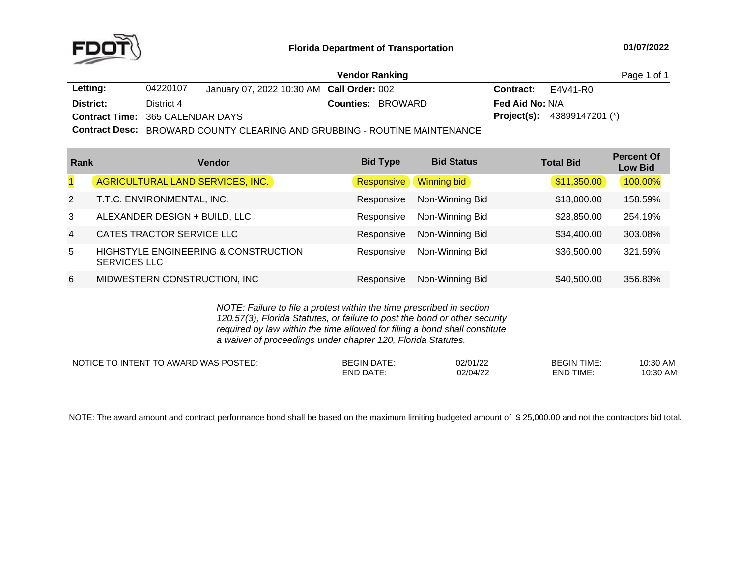

|                                         |            |                                           | Vendor Ranking |                          |                           |                                      | Page 1 of 1 |
|-----------------------------------------|------------|-------------------------------------------|----------------|--------------------------|---------------------------|--------------------------------------|-------------|
| Letting:                                | 04220107   | January 07, 2022 10:30 AM Call Order: 002 |                |                          | <b>Contract:</b> E4V41-R0 |                                      |             |
| District:                               | District 4 |                                           |                | <b>Counties: BROWARD</b> | <b>Fed Aid No: N/A</b>    |                                      |             |
| <b>Contract Time: 365 CALENDAR DAYS</b> |            |                                           |                |                          |                           | <b>Project(s):</b> $43899147201$ (*) |             |
| _______                                 |            |                                           |                |                          |                           |                                      |             |

**Contract Desc:** BROWARD COUNTY CLEARING AND GRUBBING - ROUTINE MAINTENANCE

| Rank           | <b>Vendor</b>                                                          | <b>Bid Type</b> | <b>Bid Status</b> | <b>Total Bid</b> | <b>Percent Of</b><br><b>Low Bid</b> |
|----------------|------------------------------------------------------------------------|-----------------|-------------------|------------------|-------------------------------------|
| $\overline{1}$ | AGRICULTURAL LAND SERVICES, INC.                                       | Responsive      | Winning bid       | \$11,350.00      | 100.00%                             |
| 2              | T.T.C. ENVIRONMENTAL, INC.                                             | Responsive      | Non-Winning Bid   | \$18,000.00      | 158.59%                             |
| 3              | ALEXANDER DESIGN + BUILD, LLC                                          | Responsive      | Non-Winning Bid   | \$28,850,00      | 254.19%                             |
| $\overline{4}$ | CATES TRACTOR SERVICE LLC                                              | Responsive      | Non-Winning Bid   | \$34,400.00      | 303.08%                             |
| 5              | <b>HIGHSTYLE ENGINEERING &amp; CONSTRUCTION</b><br><b>SERVICES LLC</b> | Responsive      | Non-Winning Bid   | \$36,500.00      | 321.59%                             |
| 6              | MIDWESTERN CONSTRUCTION, INC                                           | Responsive      | Non-Winning Bid   | \$40,500.00      | 356.83%                             |

*NOTE: Failure to file <sup>a</sup> protest within the time prescribed in section 120.57(3), Florida Statutes, or failure to post the bond or other security required by law within the time allowed for filing <sup>a</sup> bond shall constitute a waiver of proceedings under chapter 120, Florida Statutes.*

| $\sim$<br>$\mathcal{L}$ is in the set of $\mathcal{L}$<br>FМ<br><b>NAR'</b><br>WA.<br>⊢IN<br>$\mathbf{v}$<br>-- | .<br>,,<br>or u | 02/01/22<br>$\overline{1000}$ | TIME<br>GIN | -21<br>AIV.                  |
|-----------------------------------------------------------------------------------------------------------------|-----------------|-------------------------------|-------------|------------------------------|
|                                                                                                                 | - INIT          | 02/04/22                      | TIME<br>END | ٬∩۰۰۰<br>$\mathbf{u}$<br>v.v |

NOTE: The award amount and contract performance bond shall be based on the maximum limiting budgeted amount of \$25,000.00 and not the contractors bid total.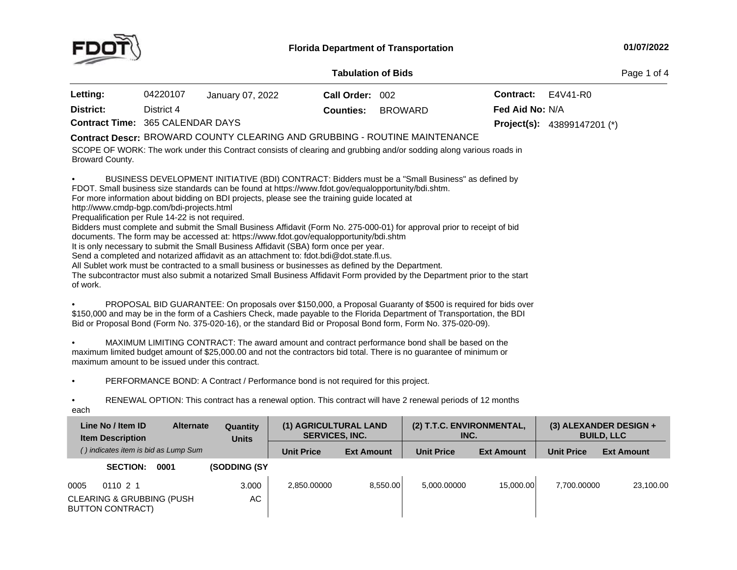

## **01/07/2022**

**Contract Time:** 365 CALENDAR**District:** District <sup>4</sup>SCOPE OF WORK: The work under this Contract consists of clearing and grubbing and/or sodding along various roads in<br>Passessed County Broward County. • BUSINESS DEVELOPMENT INITIATIVE (BDI) CONTRACT: Bidders must be <sup>a</sup> "Small Business" as defined by FDOT. Small business size standards can be found at https://www.fdot.gov/equalopportunity/bdi.shtm. For more information about bidding on BDI projects, please see the training guide located at http://www.cmdp-bgp.com/bdi-projects.html Prequalification per Rule 14-22 is not required. Bidders must complete and submit the Small Business Affidavit (Form No. 275-000-01) for approval prior to receipt of bid<br>documents. The form may be accessed at: https://www.fdet.gov/equaleppertunity/bdi.shtm documents. The form may be accessed at: https://www.fdot.gov/equalopportunity/bdi.shtm<br>It is only pecessary to submit the Small Business Affidavit (SBA) form once per vear It is only necessary to submit the Small Business Affidavit (SBA) form once per year.<br>Sond a completed and petarized affidavit as an attachment to: fdet hdi@det state fl u Send a completed and notarized affidavit as an attachment to: fdot.bdi@dot.state.fl.us. All Sublet work must be contracted to a small business or businesses as defined by the Department. The subcontractor must also submit a notarized Small Business Affidavit Form provided by the Department prior to the start<br>of work of work. •PROPOSAL BID GUARANTEE: On proposals over \$150,000, a Proposal Guaranty of \$500 is required for bids over<br>\$450,000 and may be in the farm of a Cookiers Check, made asyphic to the Flarida Benetiment of Transportation, the P \$150,000 and may be in the form of a Cashiers Check, made payable to the Florida Department of Transportation, the BDI<br>Bid at Proposal Bond (Form No. 375,020,16), or the standard Bid at Proposal Bond form, Form No. 375,020 Bid or Proposal Bond (Form No. 375-020-16), or the standard Bid or Proposal Bond form, Form No. 375-020-09). • MAXIMUM LIMITING CONTRACT: The award amount and contract performance bond shall be based on the maximum limited budget amount of \$25,000.00 and not the contractors bid total. There is no guarantee of minimum or<br>maximum amount to be issued under this contract maximum amount to be issued under this contract. DAYS **Project(s): Counties:** BROWARD43899147201 (\*) **Fed Aid No:** N/ABROWARD COUNTY CLEARING AND GRUBBING - ROUTINE MAINTENANCE **Contract Descr: Tabulation**Page 1 of 4 **Letting:** <sup>04220107</sup> January 07, <sup>2022</sup>**Call Order:** <sup>002</sup> **Contract:** E4V41-R0

•PERFORMANCE BOND: <sup>A</sup> Contract / Performance bond is not required for this project.

•• RENEWAL OPTION: This contract has a renewal option. This contract will have 2 renewal periods of 12 months

each

| Line No / Item ID<br><b>Alternate</b><br><b>Item Description</b> | Quantity<br><b>Units</b> | (1) AGRICULTURAL LAND<br><b>SERVICES, INC.</b> |                   | (2) T.T.C. ENVIRONMENTAL,<br>INC. |                   |                   | $(3)$ ALEXANDER DESIGN +<br><b>BUILD, LLC</b> |
|------------------------------------------------------------------|--------------------------|------------------------------------------------|-------------------|-----------------------------------|-------------------|-------------------|-----------------------------------------------|
| () indicates item is bid as Lump Sum                             |                          | <b>Unit Price</b>                              | <b>Ext Amount</b> | <b>Unit Price</b>                 | <b>Ext Amount</b> | <b>Unit Price</b> | <b>Ext Amount</b>                             |
| <b>SECTION:</b><br>0001                                          | <b>(SODDING (SY)</b>     |                                                |                   |                                   |                   |                   |                                               |
| 0005<br>011021                                                   | 3.000                    | 2.850.00000                                    | 8.550.00          | 5.000.00000                       | 15.000.00         | 7.700.00000       | 23,100.00                                     |
| <b>CLEARING &amp; GRUBBING (PUSH)</b><br><b>BUTTON CONTRACT)</b> | АC                       |                                                |                   |                                   |                   |                   |                                               |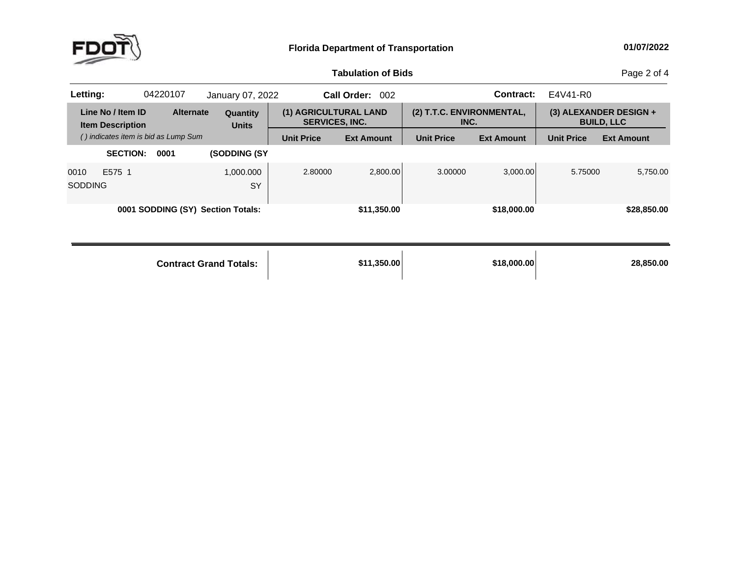

## **Tabulation**

Page 2 of 4

| Letting:               |                                              | 04220107                             | January 07, 2022                  |                                                | Call Order:<br>002 |                                   | <b>Contract:</b>  | E4V41-R0          |                                             |
|------------------------|----------------------------------------------|--------------------------------------|-----------------------------------|------------------------------------------------|--------------------|-----------------------------------|-------------------|-------------------|---------------------------------------------|
|                        | Line No / Item ID<br><b>Item Description</b> | <b>Alternate</b>                     | Quantity<br><b>Units</b>          | (1) AGRICULTURAL LAND<br><b>SERVICES, INC.</b> |                    | (2) T.T.C. ENVIRONMENTAL,<br>INC. |                   |                   | (3) ALEXANDER DESIGN +<br><b>BUILD, LLC</b> |
|                        |                                              | () indicates item is bid as Lump Sum |                                   | <b>Unit Price</b>                              | <b>Ext Amount</b>  | <b>Unit Price</b>                 | <b>Ext Amount</b> | <b>Unit Price</b> | <b>Ext Amount</b>                           |
|                        | <b>SECTION:</b>                              | 0001                                 | (SODDING (SY                      |                                                |                    |                                   |                   |                   |                                             |
| 0010<br><b>SODDING</b> | E575 1                                       |                                      | 1,000.000<br><b>SY</b>            | 2.80000                                        | 2,800.00           | 3.00000                           | 3,000.00          | 5.75000           | 5,750.00                                    |
|                        |                                              |                                      | 0001 SODDING (SY) Section Totals: |                                                | \$11,350.00        |                                   | \$18,000.00       |                   | \$28,850.00                                 |
|                        |                                              |                                      | <b>Contract Grand Totals:</b>     |                                                | \$11,350.00        |                                   | \$18,000.00       |                   | 28,850.00                                   |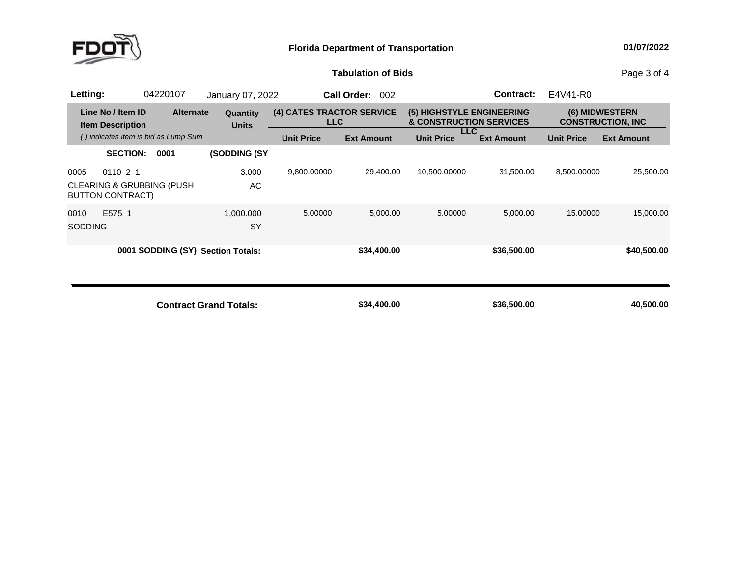

## **Tabulation**

Page 3 of 4

| Letting:       |                                                                 | 04220107         | January 07, 2022                  |                                         | Call Order:<br>002 |                                                      | Contract:         | E4V41-R0          |                                            |
|----------------|-----------------------------------------------------------------|------------------|-----------------------------------|-----------------------------------------|--------------------|------------------------------------------------------|-------------------|-------------------|--------------------------------------------|
|                | Line No / Item ID<br><b>Item Description</b>                    | <b>Alternate</b> | Quantity<br><b>Units</b>          | (4) CATES TRACTOR SERVICE<br><b>LLC</b> |                    | (5) HIGHSTYLE ENGINEERING<br>& CONSTRUCTION SERVICES |                   |                   | (6) MIDWESTERN<br><b>CONSTRUCTION. INC</b> |
|                | () indicates item is bid as Lump Sum                            |                  |                                   | <b>Unit Price</b>                       | <b>Ext Amount</b>  | <b>LLC</b><br><b>Unit Price</b>                      | <b>Ext Amount</b> | <b>Unit Price</b> | <b>Ext Amount</b>                          |
|                | <b>SECTION:</b>                                                 | 0001             | <b>(SODDING (SY)</b>              |                                         |                    |                                                      |                   |                   |                                            |
| 0005           | 011021                                                          |                  | 3.000                             | 9.800.00000                             | 29.400.00          | 10,500.00000                                         | 31.500.00         | 8.500.00000       | 25,500.00                                  |
|                | <b>CLEARING &amp; GRUBBING (PUSH</b><br><b>BUTTON CONTRACT)</b> |                  | AC.                               |                                         |                    |                                                      |                   |                   |                                            |
| 0010           | E575 1                                                          |                  | 1.000.000                         | 5.00000                                 | 5,000.00           | 5.00000                                              | 5,000.00          | 15,00000          | 15,000.00                                  |
| <b>SODDING</b> |                                                                 |                  | SY                                |                                         |                    |                                                      |                   |                   |                                            |
|                |                                                                 |                  | 0001 SODDING (SY) Section Totals: |                                         | \$34,400.00        |                                                      | \$36,500.00       |                   | \$40,500.00                                |

| <b>Contract Grand Totals:</b> | \$34,400.00 | \$36,500.00 | 40,500.00 |
|-------------------------------|-------------|-------------|-----------|
|                               |             |             |           |